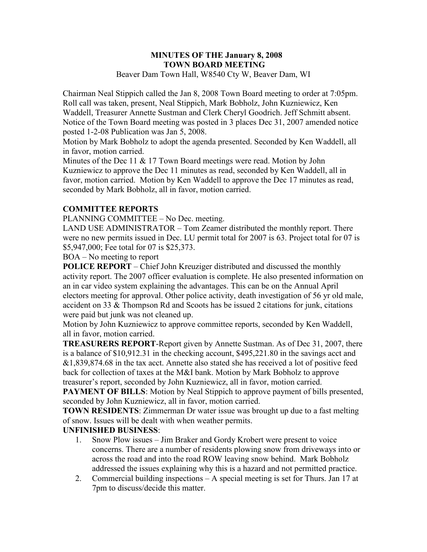#### **MINUTES OF THE January 8, 2008 TOWN BOARD MEETING**  Beaver Dam Town Hall, W8540 Cty W, Beaver Dam, WI

Chairman Neal Stippich called the Jan 8, 2008 Town Board meeting to order at 7:05pm. Roll call was taken, present, Neal Stippich, Mark Bobholz, John Kuzniewicz, Ken Waddell, Treasurer Annette Sustman and Clerk Cheryl Goodrich. Jeff Schmitt absent. Notice of the Town Board meeting was posted in 3 places Dec 31, 2007 amended notice posted 1-2-08 Publication was Jan 5, 2008.

Motion by Mark Bobholz to adopt the agenda presented. Seconded by Ken Waddell, all in favor, motion carried.

Minutes of the Dec 11 & 17 Town Board meetings were read. Motion by John Kuzniewicz to approve the Dec 11 minutes as read, seconded by Ken Waddell, all in favor, motion carried. Motion by Ken Waddell to approve the Dec 17 minutes as read, seconded by Mark Bobholz, all in favor, motion carried.

## **COMMITTEE REPORTS**

PLANNING COMMITTEE – No Dec. meeting.

LAND USE ADMINISTRATOR – Tom Zeamer distributed the monthly report. There were no new permits issued in Dec. LU permit total for 2007 is 63. Project total for 07 is \$5,947,000; Fee total for 07 is \$25,373.

BOA – No meeting to report

**POLICE REPORT** – Chief John Kreuziger distributed and discussed the monthly activity report. The 2007 officer evaluation is complete. He also presented information on an in car video system explaining the advantages. This can be on the Annual April electors meeting for approval. Other police activity, death investigation of 56 yr old male, accident on 33 & Thompson Rd and Scoots has be issued 2 citations for junk, citations were paid but junk was not cleaned up.

Motion by John Kuzniewicz to approve committee reports, seconded by Ken Waddell, all in favor, motion carried.

**TREASURERS REPORT**-Report given by Annette Sustman. As of Dec 31, 2007, there is a balance of \$10,912.31 in the checking account, \$495,221.80 in the savings acct and &1,839,874.68 in the tax acct. Annette also stated she has received a lot of positive feed back for collection of taxes at the M&I bank. Motion by Mark Bobholz to approve treasurer's report, seconded by John Kuzniewicz, all in favor, motion carried.

**PAYMENT OF BILLS:** Motion by Neal Stippich to approve payment of bills presented, seconded by John Kuzniewicz, all in favor, motion carried.

**TOWN RESIDENTS:** Zimmerman Dr water issue was brought up due to a fast melting of snow. Issues will be dealt with when weather permits.

#### **UNFINISHED BUSINESS**:

- 1. Snow Plow issues Jim Braker and Gordy Krobert were present to voice concerns. There are a number of residents plowing snow from driveways into or across the road and into the road ROW leaving snow behind. Mark Bobholz addressed the issues explaining why this is a hazard and not permitted practice.
- 2. Commercial building inspections A special meeting is set for Thurs. Jan 17 at 7pm to discuss/decide this matter.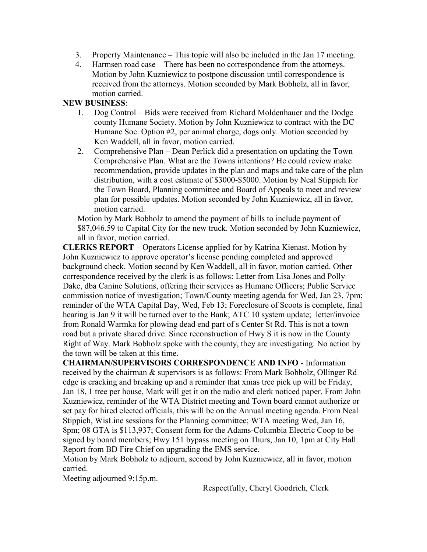- 3. Property Maintenance This topic will also be included in the Jan 17 meeting.
- 4. Harmsen road case There has been no correspondence from the attorneys. Motion by John Kuzniewicz to postpone discussion until correspondence is received from the attorneys. Motion seconded by Mark Bobholz, all in favor, motion carried.

#### **NEW BUSINESS**:

- 1. Dog Control Bids were received from Richard Moldenhauer and the Dodge county Humane Society. Motion by John Kuzniewicz to contract with the DC Humane Soc. Option #2, per animal charge, dogs only. Motion seconded by Ken Waddell, all in favor, motion carried.
- 2. Comprehensive Plan Dean Perlick did a presentation on updating the Town Comprehensive Plan. What are the Towns intentions? He could review make recommendation, provide updates in the plan and maps and take care of the plan distribution, with a cost estimate of \$3000-\$5000. Motion by Neal Stippich for the Town Board, Planning committee and Board of Appeals to meet and review plan for possible updates. Motion seconded by John Kuzniewicz, all in favor, motion carried.

Motion by Mark Bobholz to amend the payment of bills to include payment of \$87,046.59 to Capital City for the new truck. Motion seconded by John Kuzniewicz, all in favor, motion carried.

**CLERKS REPORT** – Operators License applied for by Katrina Kienast. Motion by John Kuzniewicz to approve operator's license pending completed and approved background check. Motion second by Ken Waddell, all in favor, motion carried. Other correspondence received by the clerk is as follows: Letter from Lisa Jones and Polly Dake, dba Canine Solutions, offering their services as Humane Officers; Public Service commission notice of investigation; Town/County meeting agenda for Wed, Jan 23, 7pm; reminder of the WTA Capital Day, Wed, Feb 13; Foreclosure of Scoots is complete, final hearing is Jan 9 it will be turned over to the Bank; ATC 10 system update; letter/invoice from Ronald Warmka for plowing dead end part of s Center St Rd. This is not a town road but a private shared drive. Since reconstruction of Hwy S it is now in the County Right of Way. Mark Bobholz spoke with the county, they are investigating. No action by the town will be taken at this time.

**CHAIRMAN/SUPERVISORS CORRESPONDENCE AND INFO** - Information received by the chairman & supervisors is as follows: From Mark Bobholz, Ollinger Rd edge is cracking and breaking up and a reminder that xmas tree pick up will be Friday, Jan 18, 1 tree per house, Mark will get it on the radio and clerk noticed paper. From John Kuzniewicz, reminder of the WTA District meeting and Town board cannot authorize or set pay for hired elected officials, this will be on the Annual meeting agenda. From Neal Stippich, WisLine sessions for the Planning committee; WTA meeting Wed, Jan 16, 8pm; 08 GTA is \$113,937; Consent form for the Adams-Columbia Electric Coop to be signed by board members; Hwy 151 bypass meeting on Thurs, Jan 10, 1pm at City Hall. Report from BD Fire Chief on upgrading the EMS service.

Motion by Mark Bobholz to adjourn, second by John Kuzniewicz, all in favor, motion carried.

Meeting adjourned 9:15p.m.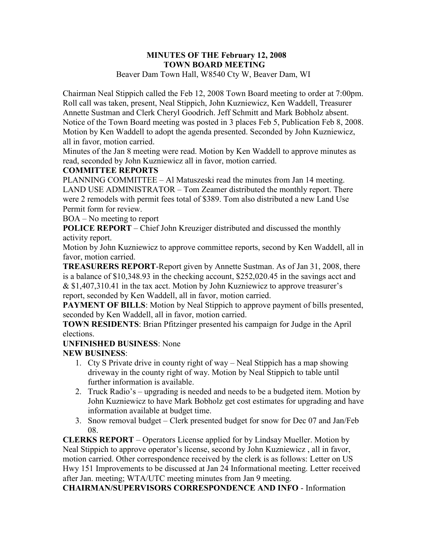#### **MINUTES OF THE February 12, 2008 TOWN BOARD MEETING**  Beaver Dam Town Hall, W8540 Cty W, Beaver Dam, WI

Chairman Neal Stippich called the Feb 12, 2008 Town Board meeting to order at 7:00pm. Roll call was taken, present, Neal Stippich, John Kuzniewicz, Ken Waddell, Treasurer Annette Sustman and Clerk Cheryl Goodrich. Jeff Schmitt and Mark Bobholz absent. Notice of the Town Board meeting was posted in 3 places Feb 5, Publication Feb 8, 2008. Motion by Ken Waddell to adopt the agenda presented. Seconded by John Kuzniewicz, all in favor, motion carried.

Minutes of the Jan 8 meeting were read. Motion by Ken Waddell to approve minutes as read, seconded by John Kuzniewicz all in favor, motion carried.

### **COMMITTEE REPORTS**

PLANNING COMMITTEE – Al Matuszeski read the minutes from Jan 14 meeting. LAND USE ADMINISTRATOR – Tom Zeamer distributed the monthly report. There were 2 remodels with permit fees total of \$389. Tom also distributed a new Land Use Permit form for review.

BOA – No meeting to report

**POLICE REPORT** – Chief John Kreuziger distributed and discussed the monthly activity report.

Motion by John Kuzniewicz to approve committee reports, second by Ken Waddell, all in favor, motion carried.

**TREASURERS REPORT**-Report given by Annette Sustman. As of Jan 31, 2008, there is a balance of \$10,348.93 in the checking account, \$252,020.45 in the savings acct and & \$1,407,310.41 in the tax acct. Motion by John Kuzniewicz to approve treasurer's report, seconded by Ken Waddell, all in favor, motion carried.

**PAYMENT OF BILLS:** Motion by Neal Stippich to approve payment of bills presented, seconded by Ken Waddell, all in favor, motion carried.

**TOWN RESIDENTS**: Brian Pfitzinger presented his campaign for Judge in the April elections.

## **UNFINISHED BUSINESS**: None

## **NEW BUSINESS**:

- 1. Cty S Private drive in county right of way Neal Stippich has a map showing driveway in the county right of way. Motion by Neal Stippich to table until further information is available.
- 2. Truck Radio's upgrading is needed and needs to be a budgeted item. Motion by John Kuzniewicz to have Mark Bobholz get cost estimates for upgrading and have information available at budget time.
- 3. Snow removal budget Clerk presented budget for snow for Dec 07 and Jan/Feb 08.

**CLERKS REPORT** – Operators License applied for by Lindsay Mueller. Motion by Neal Stippich to approve operator's license, second by John Kuzniewicz , all in favor, motion carried. Other correspondence received by the clerk is as follows: Letter on US Hwy 151 Improvements to be discussed at Jan 24 Informational meeting. Letter received after Jan. meeting; WTA/UTC meeting minutes from Jan 9 meeting.

**CHAIRMAN/SUPERVISORS CORRESPONDENCE AND INFO** - Information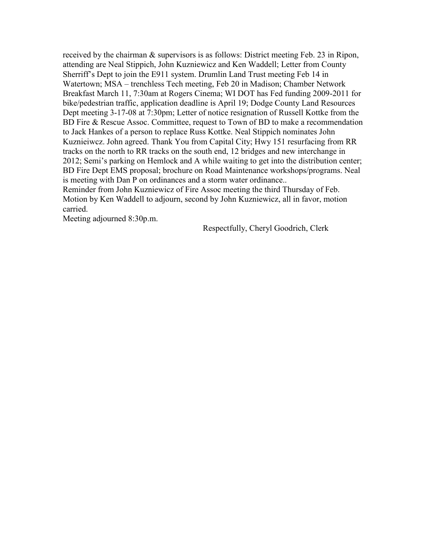received by the chairman & supervisors is as follows: District meeting Feb. 23 in Ripon, attending are Neal Stippich, John Kuzniewicz and Ken Waddell; Letter from County Sherriff's Dept to join the E911 system. Drumlin Land Trust meeting Feb 14 in Watertown; MSA – trenchless Tech meeting, Feb 20 in Madison; Chamber Network Breakfast March 11, 7:30am at Rogers Cinema; WI DOT has Fed funding 2009-2011 for bike/pedestrian traffic, application deadline is April 19; Dodge County Land Resources Dept meeting 3-17-08 at 7:30pm; Letter of notice resignation of Russell Kottke from the BD Fire & Rescue Assoc. Committee, request to Town of BD to make a recommendation to Jack Hankes of a person to replace Russ Kottke. Neal Stippich nominates John Kuznieiwcz. John agreed. Thank You from Capital City; Hwy 151 resurfacing from RR tracks on the north to RR tracks on the south end, 12 bridges and new interchange in 2012; Semi's parking on Hemlock and A while waiting to get into the distribution center; BD Fire Dept EMS proposal; brochure on Road Maintenance workshops/programs. Neal is meeting with Dan P on ordinances and a storm water ordinance..

Reminder from John Kuzniewicz of Fire Assoc meeting the third Thursday of Feb. Motion by Ken Waddell to adjourn, second by John Kuzniewicz, all in favor, motion carried.

Meeting adjourned 8:30p.m.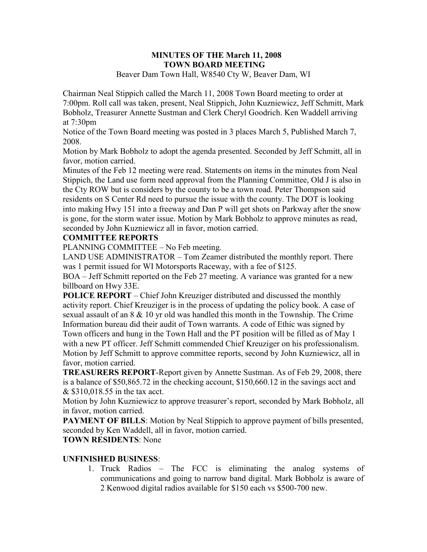#### **MINUTES OF THE March 11, 2008 TOWN BOARD MEETING**  Beaver Dam Town Hall, W8540 Cty W, Beaver Dam, WI

Chairman Neal Stippich called the March 11, 2008 Town Board meeting to order at 7:00pm. Roll call was taken, present, Neal Stippich, John Kuzniewicz, Jeff Schmitt, Mark Bobholz, Treasurer Annette Sustman and Clerk Cheryl Goodrich. Ken Waddell arriving at 7:30pm

Notice of the Town Board meeting was posted in 3 places March 5, Published March 7, 2008.

Motion by Mark Bobholz to adopt the agenda presented. Seconded by Jeff Schmitt, all in favor, motion carried.

Minutes of the Feb 12 meeting were read. Statements on items in the minutes from Neal Stippich, the Land use form need approval from the Planning Committee, Old J is also in the Cty ROW but is considers by the county to be a town road. Peter Thompson said residents on S Center Rd need to pursue the issue with the county. The DOT is looking into making Hwy 151 into a freeway and Dan P will get shots on Parkway after the snow is gone, for the storm water issue. Motion by Mark Bobholz to approve minutes as read, seconded by John Kuzniewicz all in favor, motion carried.

#### **COMMITTEE REPORTS**

PLANNING COMMITTEE – No Feb meeting.

LAND USE ADMINISTRATOR – Tom Zeamer distributed the monthly report. There was 1 permit issued for WI Motorsports Raceway, with a fee of \$125.

BOA – Jeff Schmitt reported on the Feb 27 meeting. A variance was granted for a new billboard on Hwy 33E.

**POLICE REPORT** – Chief John Kreuziger distributed and discussed the monthly activity report. Chief Kreuziger is in the process of updating the policy book. A case of sexual assault of an 8 & 10 yr old was handled this month in the Township. The Crime Information bureau did their audit of Town warrants. A code of Ethic was signed by Town officers and hung in the Town Hall and the PT position will be filled as of May 1 with a new PT officer. Jeff Schmitt commended Chief Kreuziger on his professionalism. Motion by Jeff Schmitt to approve committee reports, second by John Kuzniewicz, all in favor, motion carried.

**TREASURERS REPORT**-Report given by Annette Sustman. As of Feb 29, 2008, there is a balance of \$50,865.72 in the checking account, \$150,660.12 in the savings acct and & \$310,018.55 in the tax acct.

Motion by John Kuzniewicz to approve treasurer's report, seconded by Mark Bobholz, all in favor, motion carried.

**PAYMENT OF BILLS:** Motion by Neal Stippich to approve payment of bills presented, seconded by Ken Waddell, all in favor, motion carried.

## **TOWN RESIDENTS**: None

## **UNFINISHED BUSINESS**:

1. Truck Radios – The FCC is eliminating the analog systems of communications and going to narrow band digital. Mark Bobholz is aware of 2 Kenwood digital radios available for \$150 each vs \$500-700 new.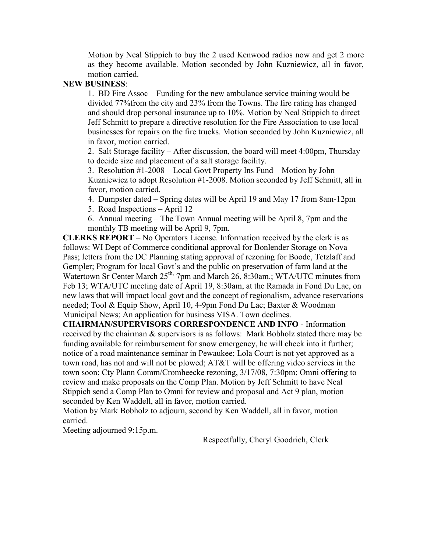Motion by Neal Stippich to buy the 2 used Kenwood radios now and get 2 more as they become available. Motion seconded by John Kuzniewicz, all in favor, motion carried.

#### **NEW BUSINESS**:

1. BD Fire Assoc – Funding for the new ambulance service training would be divided 77%from the city and 23% from the Towns. The fire rating has changed and should drop personal insurance up to 10%. Motion by Neal Stippich to direct Jeff Schmitt to prepare a directive resolution for the Fire Association to use local businesses for repairs on the fire trucks. Motion seconded by John Kuzniewicz, all in favor, motion carried.

2. Salt Storage facility – After discussion, the board will meet 4:00pm, Thursday to decide size and placement of a salt storage facility.

3. Resolution #1-2008 – Local Govt Property Ins Fund – Motion by John Kuzniewicz to adopt Resolution #1-2008. Motion seconded by Jeff Schmitt, all in favor, motion carried.

4. Dumpster dated – Spring dates will be April 19 and May 17 from 8am-12pm

5. Road Inspections – April 12

6. Annual meeting – The Town Annual meeting will be April 8, 7pm and the monthly TB meeting will be April 9, 7pm.

**CLERKS REPORT** – No Operators License. Information received by the clerk is as follows: WI Dept of Commerce conditional approval for Bonlender Storage on Nova Pass; letters from the DC Planning stating approval of rezoning for Boode, Tetzlaff and Gempler; Program for local Govt's and the public on preservation of farm land at the Watertown Sr Center March 25<sup>th,</sup> 7pm and March 26, 8:30am.; WTA/UTC minutes from Feb 13; WTA/UTC meeting date of April 19, 8:30am, at the Ramada in Fond Du Lac, on new laws that will impact local govt and the concept of regionalism, advance reservations needed; Tool & Equip Show, April 10, 4-9pm Fond Du Lac; Baxter & Woodman Municipal News; An application for business VISA. Town declines.

**CHAIRMAN/SUPERVISORS CORRESPONDENCE AND INFO** - Information received by the chairman & supervisors is as follows: Mark Bobholz stated there may be funding available for reimbursement for snow emergency, he will check into it further; notice of a road maintenance seminar in Pewaukee; Lola Court is not yet approved as a town road, has not and will not be plowed; AT&T will be offering video services in the town soon; Cty Plann Comm/Cromheecke rezoning, 3/17/08, 7:30pm; Omni offering to review and make proposals on the Comp Plan. Motion by Jeff Schmitt to have Neal Stippich send a Comp Plan to Omni for review and proposal and Act 9 plan, motion seconded by Ken Waddell, all in favor, motion carried.

Motion by Mark Bobholz to adjourn, second by Ken Waddell, all in favor, motion carried.

Meeting adjourned 9:15p.m.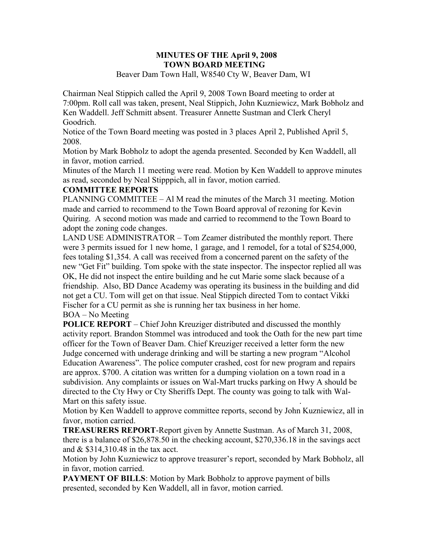#### **MINUTES OF THE April 9, 2008 TOWN BOARD MEETING**  Beaver Dam Town Hall, W8540 Cty W, Beaver Dam, WI

Chairman Neal Stippich called the April 9, 2008 Town Board meeting to order at 7:00pm. Roll call was taken, present, Neal Stippich, John Kuzniewicz, Mark Bobholz and Ken Waddell. Jeff Schmitt absent. Treasurer Annette Sustman and Clerk Cheryl Goodrich.

Notice of the Town Board meeting was posted in 3 places April 2, Published April 5, 2008.

Motion by Mark Bobholz to adopt the agenda presented. Seconded by Ken Waddell, all in favor, motion carried.

Minutes of the March 11 meeting were read. Motion by Ken Waddell to approve minutes as read, seconded by Neal Stipppich, all in favor, motion carried.

#### **COMMITTEE REPORTS**

PLANNING COMMITTEE – Al M read the minutes of the March 31 meeting. Motion made and carried to recommend to the Town Board approval of rezoning for Kevin Quiring. A second motion was made and carried to recommend to the Town Board to adopt the zoning code changes.

LAND USE ADMINISTRATOR – Tom Zeamer distributed the monthly report. There were 3 permits issued for 1 new home, 1 garage, and 1 remodel, for a total of \$254,000, fees totaling \$1,354. A call was received from a concerned parent on the safety of the new "Get Fit" building. Tom spoke with the state inspector. The inspector replied all was OK, He did not inspect the entire building and he cut Marie some slack because of a friendship. Also, BD Dance Academy was operating its business in the building and did not get a CU. Tom will get on that issue. Neal Stippich directed Tom to contact Vikki Fischer for a CU permit as she is running her tax business in her home.

BOA – No Meeting

**POLICE REPORT** – Chief John Kreuziger distributed and discussed the monthly activity report. Brandon Stommel was introduced and took the Oath for the new part time officer for the Town of Beaver Dam. Chief Kreuziger received a letter form the new Judge concerned with underage drinking and will be starting a new program "Alcohol Education Awareness". The police computer crashed, cost for new program and repairs are approx. \$700. A citation was written for a dumping violation on a town road in a subdivision. Any complaints or issues on Wal-Mart trucks parking on Hwy A should be directed to the Cty Hwy or Cty Sheriffs Dept. The county was going to talk with Wal-Mart on this safety issue.

Motion by Ken Waddell to approve committee reports, second by John Kuzniewicz, all in favor, motion carried.

**TREASURERS REPORT**-Report given by Annette Sustman. As of March 31, 2008, there is a balance of \$26,878.50 in the checking account, \$270,336.18 in the savings acct and & \$314,310.48 in the tax acct.

Motion by John Kuzniewicz to approve treasurer's report, seconded by Mark Bobholz, all in favor, motion carried.

**PAYMENT OF BILLS**: Motion by Mark Bobholz to approve payment of bills presented, seconded by Ken Waddell, all in favor, motion carried.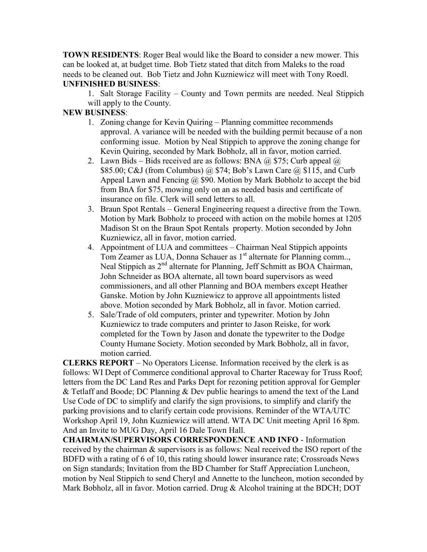**TOWN RESIDENTS**: Roger Beal would like the Board to consider a new mower. This can be looked at, at budget time. Bob Tietz stated that ditch from Maleks to the road needs to be cleaned out. Bob Tietz and John Kuzniewicz will meet with Tony Roedl. **UNFINISHED BUSINESS**:

1. Salt Storage Facility – County and Town permits are needed. Neal Stippich will apply to the County.

### **NEW BUSINESS**:

- 1. Zoning change for Kevin Quiring Planning committee recommends approval. A variance will be needed with the building permit because of a non conforming issue. Motion by Neal Stippich to approve the zoning change for Kevin Quiring, seconded by Mark Bobholz, all in favor, motion carried.
- 2. Lawn Bids Bids received are as follows: BNA  $\omega$  \$75; Curb appeal  $\omega$ \$85.00; C&J (from Columbus) @ \$74; Bob's Lawn Care @ \$115, and Curb Appeal Lawn and Fencing  $\omega$  \$90. Motion by Mark Bobholz to accept the bid from BnA for \$75, mowing only on an as needed basis and certificate of insurance on file. Clerk will send letters to all.
- 3. Braun Spot Rentals General Engineering request a directive from the Town. Motion by Mark Bobholz to proceed with action on the mobile homes at 1205 Madison St on the Braun Spot Rentals property. Motion seconded by John Kuzniewicz, all in favor, motion carried.
- 4. Appointment of LUA and committees Chairman Neal Stippich appoints Tom Zeamer as LUA, Donna Schauer as 1<sup>st</sup> alternate for Planning comm... Neal Stippich as 2<sup>nd</sup> alternate for Planning, Jeff Schmitt as BOA Chairman, John Schneider as BOA alternate, all town board supervisors as weed commissioners, and all other Planning and BOA members except Heather Ganske. Motion by John Kuzniewicz to approve all appointments listed above. Motion seconded by Mark Bobholz, all in favor. Motion carried.
- 5. Sale/Trade of old computers, printer and typewriter. Motion by John Kuzniewicz to trade computers and printer to Jason Reiske, for work completed for the Town by Jason and donate the typewriter to the Dodge County Humane Society. Motion seconded by Mark Bobholz, all in favor, motion carried.

**CLERKS REPORT** – No Operators License. Information received by the clerk is as follows: WI Dept of Commerce conditional approval to Charter Raceway for Truss Roof; letters from the DC Land Res and Parks Dept for rezoning petition approval for Gempler & Tetlaff and Boode; DC Planning & Dev public hearings to amend the text of the Land Use Code of DC to simplify and clarify the sign provisions, to simplify and clarify the parking provisions and to clarify certain code provisions. Reminder of the WTA/UTC Workshop April 19, John Kuzniewicz will attend. WTA DC Unit meeting April 16 8pm. And an Invite to MUG Day, April 16 Dale Town Hall.

**CHAIRMAN/SUPERVISORS CORRESPONDENCE AND INFO** - Information received by the chairman & supervisors is as follows: Neal received the ISO report of the BDFD with a rating of 6 of 10, this rating should lower insurance rate; Crossroads News on Sign standards; Invitation from the BD Chamber for Staff Appreciation Luncheon, motion by Neal Stippich to send Cheryl and Annette to the luncheon, motion seconded by Mark Bobholz, all in favor. Motion carried. Drug & Alcohol training at the BDCH; DOT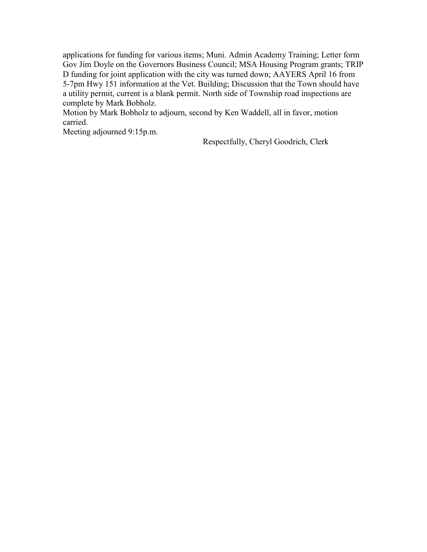applications for funding for various items; Muni. Admin Academy Training; Letter form Gov Jim Doyle on the Governors Business Council; MSA Housing Program grants; TRIP D funding for joint application with the city was turned down; AAYERS April 16 from 5-7pm Hwy 151 information at the Vet. Building; Discussion that the Town should have a utility permit, current is a blank permit. North side of Township road inspections are complete by Mark Bobholz.

Motion by Mark Bobholz to adjourn, second by Ken Waddell, all in favor, motion carried.

Meeting adjourned 9:15p.m.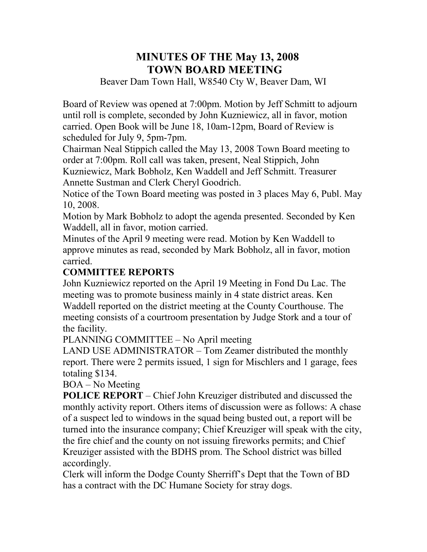# **MINUTES OF THE May 13, 2008 TOWN BOARD MEETING**

Beaver Dam Town Hall, W8540 Cty W, Beaver Dam, WI

Board of Review was opened at 7:00pm. Motion by Jeff Schmitt to adjourn until roll is complete, seconded by John Kuzniewicz, all in favor, motion carried. Open Book will be June 18, 10am-12pm, Board of Review is scheduled for July 9, 5pm-7pm.

Chairman Neal Stippich called the May 13, 2008 Town Board meeting to order at 7:00pm. Roll call was taken, present, Neal Stippich, John Kuzniewicz, Mark Bobholz, Ken Waddell and Jeff Schmitt. Treasurer Annette Sustman and Clerk Cheryl Goodrich.

Notice of the Town Board meeting was posted in 3 places May 6, Publ. May 10, 2008.

Motion by Mark Bobholz to adopt the agenda presented. Seconded by Ken Waddell, all in favor, motion carried.

Minutes of the April 9 meeting were read. Motion by Ken Waddell to approve minutes as read, seconded by Mark Bobholz, all in favor, motion carried.

## **COMMITTEE REPORTS**

John Kuzniewicz reported on the April 19 Meeting in Fond Du Lac. The meeting was to promote business mainly in 4 state district areas. Ken Waddell reported on the district meeting at the County Courthouse. The meeting consists of a courtroom presentation by Judge Stork and a tour of the facility.

PLANNING COMMITTEE – No April meeting

LAND USE ADMINISTRATOR – Tom Zeamer distributed the monthly report. There were 2 permits issued, 1 sign for Mischlers and 1 garage, fees totaling \$134.

BOA – No Meeting

**POLICE REPORT** – Chief John Kreuziger distributed and discussed the monthly activity report. Others items of discussion were as follows: A chase of a suspect led to windows in the squad being busted out, a report will be turned into the insurance company; Chief Kreuziger will speak with the city, the fire chief and the county on not issuing fireworks permits; and Chief Kreuziger assisted with the BDHS prom. The School district was billed accordingly.

Clerk will inform the Dodge County Sherriff's Dept that the Town of BD has a contract with the DC Humane Society for stray dogs.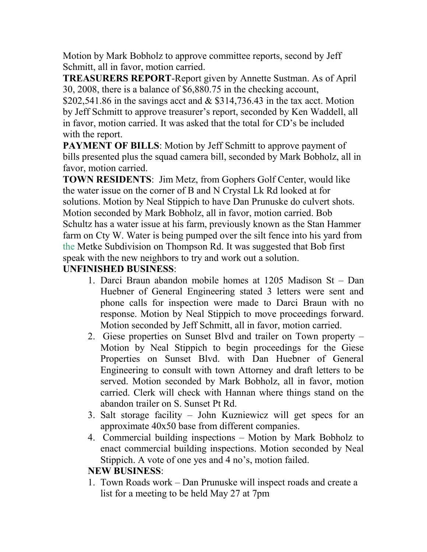Motion by Mark Bobholz to approve committee reports, second by Jeff Schmitt, all in favor, motion carried.

**TREASURERS REPORT**-Report given by Annette Sustman. As of April 30, 2008, there is a balance of \$6,880.75 in the checking account,

\$202,541.86 in the savings acct and  $&$  \$314,736.43 in the tax acct. Motion by Jeff Schmitt to approve treasurer's report, seconded by Ken Waddell, all in favor, motion carried. It was asked that the total for CD's be included with the report.

**PAYMENT OF BILLS:** Motion by Jeff Schmitt to approve payment of bills presented plus the squad camera bill, seconded by Mark Bobholz, all in favor, motion carried.

**TOWN RESIDENTS**: Jim Metz, from Gophers Golf Center, would like the water issue on the corner of B and N Crystal Lk Rd looked at for solutions. Motion by Neal Stippich to have Dan Prunuske do culvert shots. Motion seconded by Mark Bobholz, all in favor, motion carried. Bob Schultz has a water issue at his farm, previously known as the Stan Hammer farm on Cty W. Water is being pumped over the silt fence into his yard from the Metke Subdivision on Thompson Rd. It was suggested that Bob first speak with the new neighbors to try and work out a solution.

## **UNFINISHED BUSINESS**:

- 1. Darci Braun abandon mobile homes at 1205 Madison St Dan Huebner of General Engineering stated 3 letters were sent and phone calls for inspection were made to Darci Braun with no response. Motion by Neal Stippich to move proceedings forward. Motion seconded by Jeff Schmitt, all in favor, motion carried.
- 2. Giese properties on Sunset Blvd and trailer on Town property Motion by Neal Stippich to begin proceedings for the Giese Properties on Sunset Blvd. with Dan Huebner of General Engineering to consult with town Attorney and draft letters to be served. Motion seconded by Mark Bobholz, all in favor, motion carried. Clerk will check with Hannan where things stand on the abandon trailer on S. Sunset Pt Rd.
- 3. Salt storage facility John Kuzniewicz will get specs for an approximate 40x50 base from different companies.
- 4. Commercial building inspections Motion by Mark Bobholz to enact commercial building inspections. Motion seconded by Neal Stippich. A vote of one yes and 4 no's, motion failed.

## **NEW BUSINESS**:

1. Town Roads work – Dan Prunuske will inspect roads and create a list for a meeting to be held May 27 at 7pm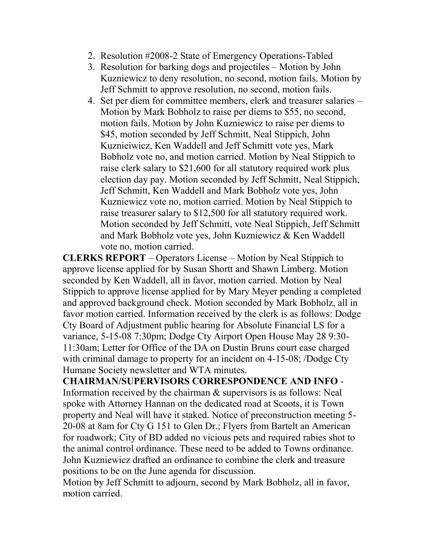- 2. Resolution #2008-2 State of Emergency Operations-Tabled
- 3. Resolution for barking dogs and projectiles Motion by John Kuzniewicz to deny resolution, no second, motion fails. Motion by Jeff Schmitt to approve resolution, no second, motion fails.
- 4. Set per diem for committee members, clerk and treasurer salaries Motion by Mark Bobholz to raise per diems to \$55, no second, motion fails. Motion by John Kuzniewicz to raise per diems to \$45, motion seconded by Jeff Schmitt, Neal Stippich, John Kuznieiwicz, Ken Waddell and Jeff Schmitt vote yes, Mark Bobholz vote no, and motion carried. Motion by Neal Stippich to raise clerk salary to \$21,600 for all statutory required work plus election day pay. Motion seconded by Jeff Schmitt, Neal Stippich, Jeff Schmitt, Ken Waddell and Mark Bobholz vote yes, John Kuzniewicz vote no, motion carried. Motion by Neal Stippich to raise treasurer salary to \$12,500 for all statutory required work. Motion seconded by Jeff Schmitt, vote Neal Stippich, Jeff Schmitt and Mark Bobholz vote yes, John Kuzniewicz & Ken Waddell vote no, motion carried.

**CLERKS REPORT** – Operators License – Motion by Neal Stippich to approve license applied for by Susan Shortt and Shawn Limberg. Motion seconded by Ken Waddell, all in favor, motion carried. Motion by Neal Stippich to approve license applied for by Mary Meyer pending a completed and approved background check. Motion seconded by Mark Bobholz, all in favor motion carried. Information received by the clerk is as follows: Dodge Cty Board of Adjustment public hearing for Absolute Financial LS for a variance, 5-15-08 7:30pm; Dodge Cty Airport Open House May 28 9:30- 11:30am; Letter for Office of the DA on Dustin Bruns court case charged with criminal damage to property for an incident on 4-15-08; /Dodge Cty Humane Society newsletter and WTA minutes.

**CHAIRMAN/SUPERVISORS CORRESPONDENCE AND INFO** - Information received by the chairman & supervisors is as follows: Neal spoke with Attorney Hannan on the dedicated road at Scoots, it is Town property and Neal will have it staked. Notice of preconstruction meeting 5- 20-08 at 8am for Cty G 151 to Glen Dr.; Flyers from Bartelt an American for roadwork; City of BD added no vicious pets and required rabies shot to the animal control ordinance. These need to be added to Towns ordinance. John Kuzniewicz drafted an ordinance to combine the clerk and treasure positions to be on the June agenda for discussion.

Motion by Jeff Schmitt to adjourn, second by Mark Bobholz, all in favor, motion carried.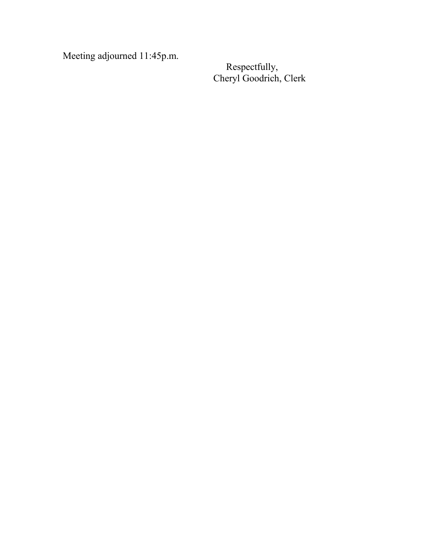Meeting adjourned 11:45p.m.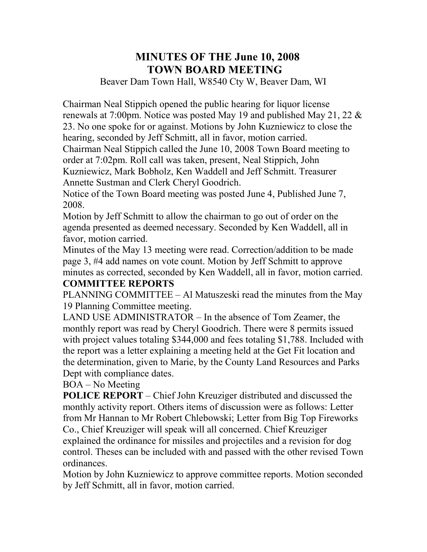# **MINUTES OF THE June 10, 2008 TOWN BOARD MEETING**

Beaver Dam Town Hall, W8540 Cty W, Beaver Dam, WI

Chairman Neal Stippich opened the public hearing for liquor license renewals at 7:00pm. Notice was posted May 19 and published May 21, 22 & 23. No one spoke for or against. Motions by John Kuzniewicz to close the hearing, seconded by Jeff Schmitt, all in favor, motion carried.

Chairman Neal Stippich called the June 10, 2008 Town Board meeting to order at 7:02pm. Roll call was taken, present, Neal Stippich, John Kuzniewicz, Mark Bobholz, Ken Waddell and Jeff Schmitt. Treasurer Annette Sustman and Clerk Cheryl Goodrich.

Notice of the Town Board meeting was posted June 4, Published June 7, 2008.

Motion by Jeff Schmitt to allow the chairman to go out of order on the agenda presented as deemed necessary. Seconded by Ken Waddell, all in favor, motion carried.

Minutes of the May 13 meeting were read. Correction/addition to be made page 3, #4 add names on vote count. Motion by Jeff Schmitt to approve minutes as corrected, seconded by Ken Waddell, all in favor, motion carried.

## **COMMITTEE REPORTS**

PLANNING COMMITTEE – Al Matuszeski read the minutes from the May 19 Planning Committee meeting.

LAND USE ADMINISTRATOR – In the absence of Tom Zeamer, the monthly report was read by Cheryl Goodrich. There were 8 permits issued with project values totaling \$344,000 and fees totaling \$1,788. Included with the report was a letter explaining a meeting held at the Get Fit location and the determination, given to Marie, by the County Land Resources and Parks Dept with compliance dates.

BOA – No Meeting

**POLICE REPORT** – Chief John Kreuziger distributed and discussed the monthly activity report. Others items of discussion were as follows: Letter from Mr Hannan to Mr Robert Chlebowski; Letter from Big Top Fireworks Co., Chief Kreuziger will speak will all concerned. Chief Kreuziger explained the ordinance for missiles and projectiles and a revision for dog control. Theses can be included with and passed with the other revised Town ordinances.

Motion by John Kuzniewicz to approve committee reports. Motion seconded by Jeff Schmitt, all in favor, motion carried.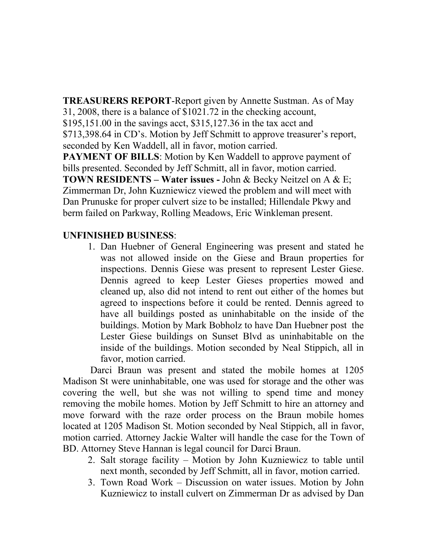**TREASURERS REPORT**-Report given by Annette Sustman. As of May 31, 2008, there is a balance of \$1021.72 in the checking account,

\$195,151.00 in the savings acct, \$315,127.36 in the tax acct and

\$713,398.64 in CD's. Motion by Jeff Schmitt to approve treasurer's report, seconded by Ken Waddell, all in favor, motion carried.

**PAYMENT OF BILLS:** Motion by Ken Waddell to approve payment of bills presented. Seconded by Jeff Schmitt, all in favor, motion carried.

**TOWN RESIDENTS – Water issues -** John & Becky Neitzel on A & E; Zimmerman Dr, John Kuzniewicz viewed the problem and will meet with Dan Prunuske for proper culvert size to be installed; Hillendale Pkwy and berm failed on Parkway, Rolling Meadows, Eric Winkleman present.

## **UNFINISHED BUSINESS**:

1. Dan Huebner of General Engineering was present and stated he was not allowed inside on the Giese and Braun properties for inspections. Dennis Giese was present to represent Lester Giese. Dennis agreed to keep Lester Gieses properties mowed and cleaned up, also did not intend to rent out either of the homes but agreed to inspections before it could be rented. Dennis agreed to have all buildings posted as uninhabitable on the inside of the buildings. Motion by Mark Bobholz to have Dan Huebner post the Lester Giese buildings on Sunset Blvd as uninhabitable on the inside of the buildings. Motion seconded by Neal Stippich, all in favor, motion carried.

 Darci Braun was present and stated the mobile homes at 1205 Madison St were uninhabitable, one was used for storage and the other was covering the well, but she was not willing to spend time and money removing the mobile homes. Motion by Jeff Schmitt to hire an attorney and move forward with the raze order process on the Braun mobile homes located at 1205 Madison St. Motion seconded by Neal Stippich, all in favor, motion carried. Attorney Jackie Walter will handle the case for the Town of BD. Attorney Steve Hannan is legal council for Darci Braun.

- 2. Salt storage facility Motion by John Kuzniewicz to table until next month, seconded by Jeff Schmitt, all in favor, motion carried.
- 3. Town Road Work Discussion on water issues. Motion by John Kuzniewicz to install culvert on Zimmerman Dr as advised by Dan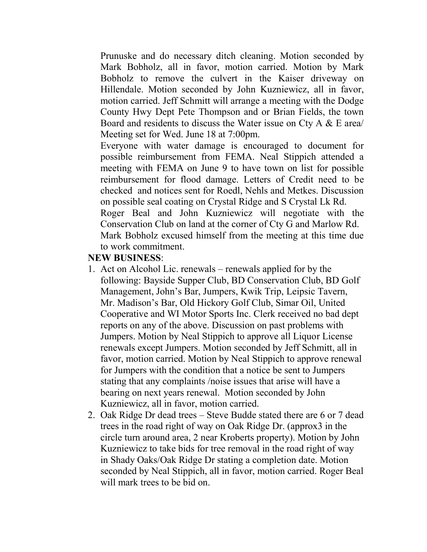Prunuske and do necessary ditch cleaning. Motion seconded by Mark Bobholz, all in favor, motion carried. Motion by Mark Bobholz to remove the culvert in the Kaiser driveway on Hillendale. Motion seconded by John Kuzniewicz, all in favor, motion carried. Jeff Schmitt will arrange a meeting with the Dodge County Hwy Dept Pete Thompson and or Brian Fields, the town Board and residents to discuss the Water issue on Cty A & E area/ Meeting set for Wed. June 18 at 7:00pm.

Everyone with water damage is encouraged to document for possible reimbursement from FEMA. Neal Stippich attended a meeting with FEMA on June 9 to have town on list for possible reimbursement for flood damage. Letters of Credit need to be checked and notices sent for Roedl, Nehls and Metkes. Discussion on possible seal coating on Crystal Ridge and S Crystal Lk Rd. Roger Beal and John Kuzniewicz will negotiate with the Conservation Club on land at the corner of Cty G and Marlow Rd. Mark Bobholz excused himself from the meeting at this time due to work commitment.

## **NEW BUSINESS**:

- 1. Act on Alcohol Lic. renewals renewals applied for by the following: Bayside Supper Club, BD Conservation Club, BD Golf Management, John's Bar, Jumpers, Kwik Trip, Leipsic Tavern, Mr. Madison's Bar, Old Hickory Golf Club, Simar Oil, United Cooperative and WI Motor Sports Inc. Clerk received no bad dept reports on any of the above. Discussion on past problems with Jumpers. Motion by Neal Stippich to approve all Liquor License renewals except Jumpers. Motion seconded by Jeff Schmitt, all in favor, motion carried. Motion by Neal Stippich to approve renewal for Jumpers with the condition that a notice be sent to Jumpers stating that any complaints /noise issues that arise will have a bearing on next years renewal. Motion seconded by John Kuzniewicz, all in favor, motion carried.
- 2. Oak Ridge Dr dead trees Steve Budde stated there are 6 or 7 dead trees in the road right of way on Oak Ridge Dr. (approx3 in the circle turn around area, 2 near Kroberts property). Motion by John Kuzniewicz to take bids for tree removal in the road right of way in Shady Oaks/Oak Ridge Dr stating a completion date. Motion seconded by Neal Stippich, all in favor, motion carried. Roger Beal will mark trees to be bid on.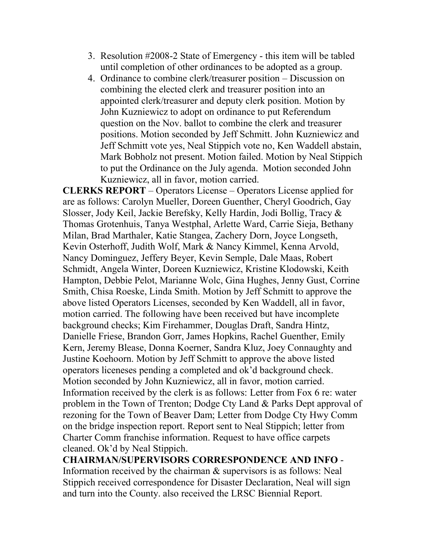- 3. Resolution #2008-2 State of Emergency this item will be tabled until completion of other ordinances to be adopted as a group.
- 4. Ordinance to combine clerk/treasurer position Discussion on combining the elected clerk and treasurer position into an appointed clerk/treasurer and deputy clerk position. Motion by John Kuzniewicz to adopt on ordinance to put Referendum question on the Nov. ballot to combine the clerk and treasurer positions. Motion seconded by Jeff Schmitt. John Kuzniewicz and Jeff Schmitt vote yes, Neal Stippich vote no, Ken Waddell abstain, Mark Bobholz not present. Motion failed. Motion by Neal Stippich to put the Ordinance on the July agenda. Motion seconded John Kuzniewicz, all in favor, motion carried.

**CLERKS REPORT** – Operators License – Operators License applied for are as follows: Carolyn Mueller, Doreen Guenther, Cheryl Goodrich, Gay Slosser, Jody Keil, Jackie Berefsky, Kelly Hardin, Jodi Bollig, Tracy & Thomas Grotenhuis, Tanya Westphal, Arlette Ward, Carrie Sieja, Bethany Milan, Brad Marthaler, Katie Stangea, Zachery Dorn, Joyce Longseth, Kevin Osterhoff, Judith Wolf, Mark & Nancy Kimmel, Kenna Arvold, Nancy Dominguez, Jeffery Beyer, Kevin Semple, Dale Maas, Robert Schmidt, Angela Winter, Doreen Kuzniewicz, Kristine Klodowski, Keith Hampton, Debbie Pelot, Marianne Wolc, Gina Hughes, Jenny Gust, Corrine Smith, Chisa Roeske, Linda Smith. Motion by Jeff Schmitt to approve the above listed Operators Licenses, seconded by Ken Waddell, all in favor, motion carried. The following have been received but have incomplete background checks; Kim Firehammer, Douglas Draft, Sandra Hintz, Danielle Friese, Brandon Gorr, James Hopkins, Rachel Guenther, Emily Kern, Jeremy Blease, Donna Koerner, Sandra Kluz, Joey Connaughty and Justine Koehoorn. Motion by Jeff Schmitt to approve the above listed operators liceneses pending a completed and ok'd background check. Motion seconded by John Kuzniewicz, all in favor, motion carried. Information received by the clerk is as follows: Letter from Fox 6 re: water problem in the Town of Trenton; Dodge Cty Land & Parks Dept approval of rezoning for the Town of Beaver Dam; Letter from Dodge Cty Hwy Comm on the bridge inspection report. Report sent to Neal Stippich; letter from Charter Comm franchise information. Request to have office carpets cleaned. Ok'd by Neal Stippich.

**CHAIRMAN/SUPERVISORS CORRESPONDENCE AND INFO** - Information received by the chairman & supervisors is as follows: Neal Stippich received correspondence for Disaster Declaration, Neal will sign and turn into the County. also received the LRSC Biennial Report.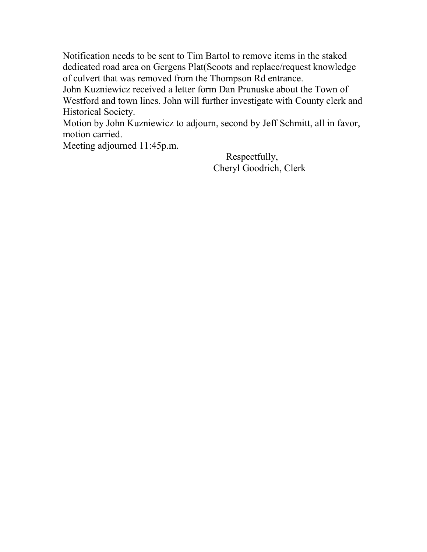Notification needs to be sent to Tim Bartol to remove items in the staked dedicated road area on Gergens Plat(Scoots and replace/request knowledge of culvert that was removed from the Thompson Rd entrance.

John Kuzniewicz received a letter form Dan Prunuske about the Town of Westford and town lines. John will further investigate with County clerk and Historical Society.

Motion by John Kuzniewicz to adjourn, second by Jeff Schmitt, all in favor, motion carried.

Meeting adjourned 11:45p.m.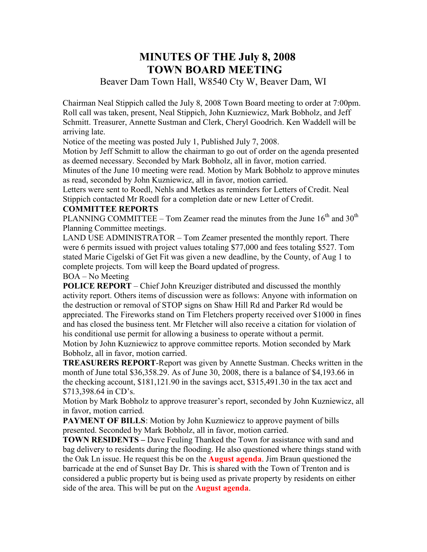## **MINUTES OF THE July 8, 2008 TOWN BOARD MEETING**

## Beaver Dam Town Hall, W8540 Cty W, Beaver Dam, WI

Chairman Neal Stippich called the July 8, 2008 Town Board meeting to order at 7:00pm. Roll call was taken, present, Neal Stippich, John Kuzniewicz, Mark Bobholz, and Jeff Schmitt. Treasurer, Annette Sustman and Clerk, Cheryl Goodrich. Ken Waddell will be arriving late.

Notice of the meeting was posted July 1, Published July 7, 2008.

Motion by Jeff Schmitt to allow the chairman to go out of order on the agenda presented as deemed necessary. Seconded by Mark Bobholz, all in favor, motion carried.

Minutes of the June 10 meeting were read. Motion by Mark Bobholz to approve minutes as read, seconded by John Kuzniewicz, all in favor, motion carried.

Letters were sent to Roedl, Nehls and Metkes as reminders for Letters of Credit. Neal Stippich contacted Mr Roedl for a completion date or new Letter of Credit.

### **COMMITTEE REPORTS**

PLANNING COMMITTEE – Tom Zeamer read the minutes from the June  $16<sup>th</sup>$  and  $30<sup>th</sup>$ Planning Committee meetings.

LAND USE ADMINISTRATOR – Tom Zeamer presented the monthly report. There were 6 permits issued with project values totaling \$77,000 and fees totaling \$527. Tom stated Marie Cigelski of Get Fit was given a new deadline, by the County, of Aug 1 to complete projects. Tom will keep the Board updated of progress.

#### BOA – No Meeting

**POLICE REPORT** – Chief John Kreuziger distributed and discussed the monthly activity report. Others items of discussion were as follows: Anyone with information on the destruction or removal of STOP signs on Shaw Hill Rd and Parker Rd would be appreciated. The Fireworks stand on Tim Fletchers property received over \$1000 in fines and has closed the business tent. Mr Fletcher will also receive a citation for violation of his conditional use permit for allowing a business to operate without a permit. Motion by John Kuzniewicz to approve committee reports. Motion seconded by Mark Bobholz, all in favor, motion carried.

**TREASURERS REPORT**-Report was given by Annette Sustman. Checks written in the month of June total \$36,358.29. As of June 30, 2008, there is a balance of \$4,193.66 in the checking account, \$181,121.90 in the savings acct, \$315,491.30 in the tax acct and \$713,398.64 in CD's.

Motion by Mark Bobholz to approve treasurer's report, seconded by John Kuzniewicz, all in favor, motion carried.

**PAYMENT OF BILLS:** Motion by John Kuzniewicz to approve payment of bills presented. Seconded by Mark Bobholz, all in favor, motion carried.

**TOWN RESIDENTS –** Dave Feuling Thanked the Town for assistance with sand and bag delivery to residents during the flooding. He also questioned where things stand with the Oak Ln issue. He request this be on the **August agenda**. Jim Braun questioned the barricade at the end of Sunset Bay Dr. This is shared with the Town of Trenton and is considered a public property but is being used as private property by residents on either side of the area. This will be put on the **August agenda**.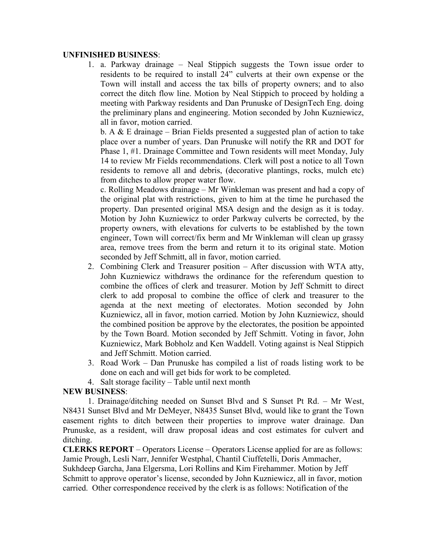#### **UNFINISHED BUSINESS**:

1. a. Parkway drainage – Neal Stippich suggests the Town issue order to residents to be required to install 24" culverts at their own expense or the Town will install and access the tax bills of property owners; and to also correct the ditch flow line. Motion by Neal Stippich to proceed by holding a meeting with Parkway residents and Dan Prunuske of DesignTech Eng. doing the preliminary plans and engineering. Motion seconded by John Kuzniewicz, all in favor, motion carried.

b. A  $&$  E drainage – Brian Fields presented a suggested plan of action to take place over a number of years. Dan Prunuske will notify the RR and DOT for Phase 1, #1. Drainage Committee and Town residents will meet Monday, July 14 to review Mr Fields recommendations. Clerk will post a notice to all Town residents to remove all and debris, (decorative plantings, rocks, mulch etc) from ditches to allow proper water flow.

c. Rolling Meadows drainage – Mr Winkleman was present and had a copy of the original plat with restrictions, given to him at the time he purchased the property. Dan presented original MSA design and the design as it is today. Motion by John Kuzniewicz to order Parkway culverts be corrected, by the property owners, with elevations for culverts to be established by the town engineer, Town will correct/fix berm and Mr Winkleman will clean up grassy area, remove trees from the berm and return it to its original state. Motion seconded by Jeff Schmitt, all in favor, motion carried.

- 2. Combining Clerk and Treasurer position After discussion with WTA atty, John Kuzniewicz withdraws the ordinance for the referendum question to combine the offices of clerk and treasurer. Motion by Jeff Schmitt to direct clerk to add proposal to combine the office of clerk and treasurer to the agenda at the next meeting of electorates. Motion seconded by John Kuzniewicz, all in favor, motion carried. Motion by John Kuzniewicz, should the combined position be approve by the electorates, the position be appointed by the Town Board. Motion seconded by Jeff Schmitt. Voting in favor, John Kuzniewicz, Mark Bobholz and Ken Waddell. Voting against is Neal Stippich and Jeff Schmitt. Motion carried.
- 3. Road Work Dan Prunuske has compiled a list of roads listing work to be done on each and will get bids for work to be completed.
- 4. Salt storage facility Table until next month

#### **NEW BUSINESS**:

 1. Drainage/ditching needed on Sunset Blvd and S Sunset Pt Rd. – Mr West, N8431 Sunset Blvd and Mr DeMeyer, N8435 Sunset Blvd, would like to grant the Town easement rights to ditch between their properties to improve water drainage. Dan Prunuske, as a resident, will draw proposal ideas and cost estimates for culvert and ditching.

**CLERKS REPORT** – Operators License – Operators License applied for are as follows: Jamie Prough, Lesli Narr, Jennifer Westphal, Chantil Ciuffetelli, Doris Ammacher, Sukhdeep Garcha, Jana Elgersma, Lori Rollins and Kim Firehammer. Motion by Jeff Schmitt to approve operator's license, seconded by John Kuzniewicz, all in favor, motion carried. Other correspondence received by the clerk is as follows: Notification of the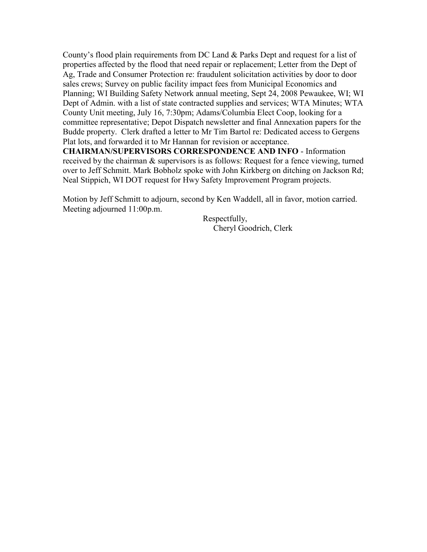County's flood plain requirements from DC Land & Parks Dept and request for a list of properties affected by the flood that need repair or replacement; Letter from the Dept of Ag, Trade and Consumer Protection re: fraudulent solicitation activities by door to door sales crews; Survey on public facility impact fees from Municipal Economics and Planning; WI Building Safety Network annual meeting, Sept 24, 2008 Pewaukee, WI; WI Dept of Admin. with a list of state contracted supplies and services; WTA Minutes; WTA County Unit meeting, July 16, 7:30pm; Adams/Columbia Elect Coop, looking for a committee representative; Depot Dispatch newsletter and final Annexation papers for the Budde property. Clerk drafted a letter to Mr Tim Bartol re: Dedicated access to Gergens Plat lots, and forwarded it to Mr Hannan for revision or acceptance.

**CHAIRMAN/SUPERVISORS CORRESPONDENCE AND INFO** - Information received by the chairman & supervisors is as follows: Request for a fence viewing, turned over to Jeff Schmitt. Mark Bobholz spoke with John Kirkberg on ditching on Jackson Rd; Neal Stippich, WI DOT request for Hwy Safety Improvement Program projects.

Motion by Jeff Schmitt to adjourn, second by Ken Waddell, all in favor, motion carried. Meeting adjourned 11:00p.m.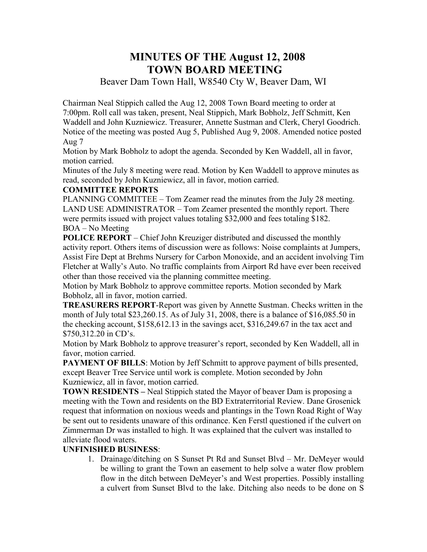# **MINUTES OF THE August 12, 2008 TOWN BOARD MEETING**

Beaver Dam Town Hall, W8540 Cty W, Beaver Dam, WI

Chairman Neal Stippich called the Aug 12, 2008 Town Board meeting to order at 7:00pm. Roll call was taken, present, Neal Stippich, Mark Bobholz, Jeff Schmitt, Ken Waddell and John Kuzniewicz. Treasurer, Annette Sustman and Clerk, Cheryl Goodrich. Notice of the meeting was posted Aug 5, Published Aug 9, 2008. Amended notice posted Aug 7

Motion by Mark Bobholz to adopt the agenda. Seconded by Ken Waddell, all in favor, motion carried.

Minutes of the July 8 meeting were read. Motion by Ken Waddell to approve minutes as read, seconded by John Kuzniewicz, all in favor, motion carried.

### **COMMITTEE REPORTS**

PLANNING COMMITTEE – Tom Zeamer read the minutes from the July 28 meeting. LAND USE ADMINISTRATOR – Tom Zeamer presented the monthly report. There were permits issued with project values totaling \$32,000 and fees totaling \$182. BOA – No Meeting

**POLICE REPORT** – Chief John Kreuziger distributed and discussed the monthly activity report. Others items of discussion were as follows: Noise complaints at Jumpers, Assist Fire Dept at Brehms Nursery for Carbon Monoxide, and an accident involving Tim Fletcher at Wally's Auto. No traffic complaints from Airport Rd have ever been received other than those received via the planning committee meeting.

Motion by Mark Bobholz to approve committee reports. Motion seconded by Mark Bobholz, all in favor, motion carried.

**TREASURERS REPORT**-Report was given by Annette Sustman. Checks written in the month of July total \$23,260.15. As of July 31, 2008, there is a balance of \$16,085.50 in the checking account, \$158,612.13 in the savings acct, \$316,249.67 in the tax acct and \$750,312.20 in CD's.

Motion by Mark Bobholz to approve treasurer's report, seconded by Ken Waddell, all in favor, motion carried.

**PAYMENT OF BILLS:** Motion by Jeff Schmitt to approve payment of bills presented, except Beaver Tree Service until work is complete. Motion seconded by John Kuzniewicz, all in favor, motion carried.

**TOWN RESIDENTS –** Neal Stippich stated the Mayor of beaver Dam is proposing a meeting with the Town and residents on the BD Extraterritorial Review. Dane Grosenick request that information on noxious weeds and plantings in the Town Road Right of Way be sent out to residents unaware of this ordinance. Ken Ferstl questioned if the culvert on Zimmerman Dr was installed to high. It was explained that the culvert was installed to alleviate flood waters.

## **UNFINISHED BUSINESS**:

1. Drainage/ditching on S Sunset Pt Rd and Sunset Blvd – Mr. DeMeyer would be willing to grant the Town an easement to help solve a water flow problem flow in the ditch between DeMeyer's and West properties. Possibly installing a culvert from Sunset Blvd to the lake. Ditching also needs to be done on S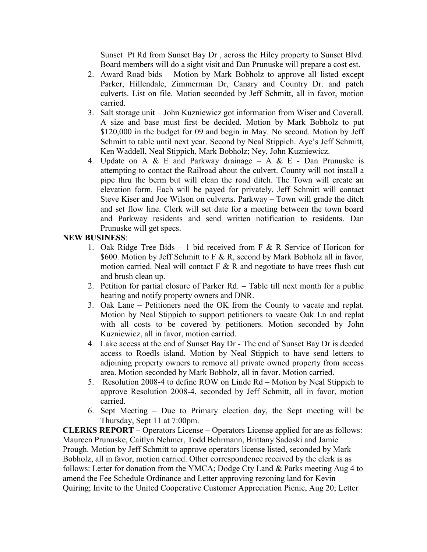Sunset Pt Rd from Sunset Bay Dr , across the Hiley property to Sunset Blvd. Board members will do a sight visit and Dan Prunuske will prepare a cost est.

- 2. Award Road bids Motion by Mark Bobholz to approve all listed except Parker, Hillendale, Zimmerman Dr, Canary and Country Dr. and patch culverts. List on file. Motion seconded by Jeff Schmitt, all in favor, motion carried.
- 3. Salt storage unit John Kuzniewicz got information from Wiser and Coverall. A size and base must first be decided. Motion by Mark Bobholz to put \$120,000 in the budget for 09 and begin in May. No second. Motion by Jeff Schmitt to table until next year. Second by Neal Stippich. Aye's Jeff Schmitt, Ken Waddell, Neal Stippich, Mark Bobholz; Ney, John Kuzniewicz.
- 4. Update on A & E and Parkway drainage A & E Dan Prunuske is attempting to contact the Railroad about the culvert. County will not install a pipe thru the berm but will clean the road ditch. The Town will create an elevation form. Each will be payed for privately. Jeff Schmitt will contact Steve Kiser and Joe Wilson on culverts. Parkway – Town will grade the ditch and set flow line. Clerk will set date for a meeting between the town board and Parkway residents and send written notification to residents. Dan Prunuske will get specs.

## **NEW BUSINESS**:

- 1. Oak Ridge Tree Bids 1 bid received from F & R Service of Horicon for \$600. Motion by Jeff Schmitt to F & R, second by Mark Bobholz all in favor, motion carried. Neal will contact  $F \& R$  and negotiate to have trees flush cut and brush clean up.
- 2. Petition for partial closure of Parker Rd. Table till next month for a public hearing and notify property owners and DNR.
- 3. Oak Lane Petitioners need the OK from the County to vacate and replat. Motion by Neal Stippich to support petitioners to vacate Oak Ln and replat with all costs to be covered by petitioners. Motion seconded by John Kuzniewicz, all in favor, motion carried.
- 4. Lake access at the end of Sunset Bay Dr The end of Sunset Bay Dr is deeded access to Roedls island. Motion by Neal Stippich to have send letters to adjoining property owners to remove all private owned property from access area. Motion seconded by Mark Bobholz, all in favor. Motion carried.
- 5. Resolution 2008-4 to define ROW on Linde Rd Motion by Neal Stippich to approve Resolution 2008-4, seconded by Jeff Schmitt, all in favor, motion carried.
- 6. Sept Meeting Due to Primary election day, the Sept meeting will be Thursday, Sept 11 at 7:00pm.

**CLERKS REPORT** – Operators License – Operators License applied for are as follows: Maureen Prunuske, Caitlyn Nehmer, Todd Behrmann, Brittany Sadoski and Jamie Prough. Motion by Jeff Schmitt to approve operators license listed, seconded by Mark Bobholz, all in favor, motion carried. Other correspondence received by the clerk is as follows: Letter for donation from the YMCA; Dodge Cty Land & Parks meeting Aug 4 to amend the Fee Schedule Ordinance and Letter approving rezoning land for Kevin Quiring; Invite to the United Cooperative Customer Appreciation Picnic, Aug 20; Letter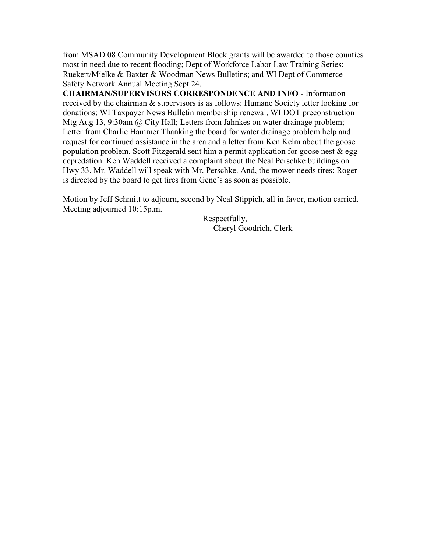from MSAD 08 Community Development Block grants will be awarded to those counties most in need due to recent flooding; Dept of Workforce Labor Law Training Series; Ruekert/Mielke & Baxter & Woodman News Bulletins; and WI Dept of Commerce Safety Network Annual Meeting Sept 24.

**CHAIRMAN/SUPERVISORS CORRESPONDENCE AND INFO** - Information received by the chairman & supervisors is as follows: Humane Society letter looking for donations; WI Taxpayer News Bulletin membership renewal, WI DOT preconstruction Mtg Aug 13, 9:30am @ City Hall; Letters from Jahnkes on water drainage problem; Letter from Charlie Hammer Thanking the board for water drainage problem help and request for continued assistance in the area and a letter from Ken Kelm about the goose population problem, Scott Fitzgerald sent him a permit application for goose nest  $\&$  egg depredation. Ken Waddell received a complaint about the Neal Perschke buildings on Hwy 33. Mr. Waddell will speak with Mr. Perschke. And, the mower needs tires; Roger is directed by the board to get tires from Gene's as soon as possible.

Motion by Jeff Schmitt to adjourn, second by Neal Stippich, all in favor, motion carried. Meeting adjourned 10:15p.m.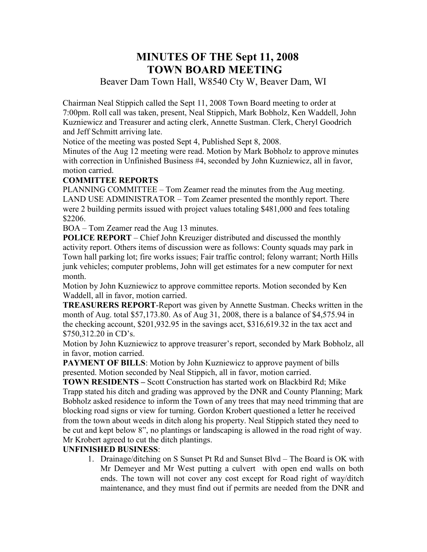# **MINUTES OF THE Sept 11, 2008 TOWN BOARD MEETING**

Beaver Dam Town Hall, W8540 Cty W, Beaver Dam, WI

Chairman Neal Stippich called the Sept 11, 2008 Town Board meeting to order at 7:00pm. Roll call was taken, present, Neal Stippich, Mark Bobholz, Ken Waddell, John Kuzniewicz and Treasurer and acting clerk, Annette Sustman. Clerk, Cheryl Goodrich and Jeff Schmitt arriving late.

Notice of the meeting was posted Sept 4, Published Sept 8, 2008.

Minutes of the Aug 12 meeting were read. Motion by Mark Bobholz to approve minutes with correction in Unfinished Business #4, seconded by John Kuzniewicz, all in favor, motion carried.

## **COMMITTEE REPORTS**

PLANNING COMMITTEE – Tom Zeamer read the minutes from the Aug meeting. LAND USE ADMINISTRATOR – Tom Zeamer presented the monthly report. There were 2 building permits issued with project values totaling \$481,000 and fees totaling \$2206.

BOA – Tom Zeamer read the Aug 13 minutes.

**POLICE REPORT** – Chief John Kreuziger distributed and discussed the monthly activity report. Others items of discussion were as follows: County squads may park in Town hall parking lot; fire works issues; Fair traffic control; felony warrant; North Hills junk vehicles; computer problems, John will get estimates for a new computer for next month.

Motion by John Kuzniewicz to approve committee reports. Motion seconded by Ken Waddell, all in favor, motion carried.

**TREASURERS REPORT**-Report was given by Annette Sustman. Checks written in the month of Aug. total \$57,173.80. As of Aug 31, 2008, there is a balance of \$4,575.94 in the checking account, \$201,932.95 in the savings acct, \$316,619.32 in the tax acct and \$750,312.20 in CD's.

Motion by John Kuzniewicz to approve treasurer's report, seconded by Mark Bobholz, all in favor, motion carried.

**PAYMENT OF BILLS:** Motion by John Kuzniewicz to approve payment of bills presented. Motion seconded by Neal Stippich, all in favor, motion carried.

**TOWN RESIDENTS –** Scott Construction has started work on Blackbird Rd; Mike Trapp stated his ditch and grading was approved by the DNR and County Planning; Mark Bobholz asked residence to inform the Town of any trees that may need trimming that are blocking road signs or view for turning. Gordon Krobert questioned a letter he received from the town about weeds in ditch along his property. Neal Stippich stated they need to be cut and kept below 8", no plantings or landscaping is allowed in the road right of way. Mr Krobert agreed to cut the ditch plantings.

## **UNFINISHED BUSINESS**:

1. Drainage/ditching on S Sunset Pt Rd and Sunset Blvd – The Board is OK with Mr Demeyer and Mr West putting a culvert with open end walls on both ends. The town will not cover any cost except for Road right of way/ditch maintenance, and they must find out if permits are needed from the DNR and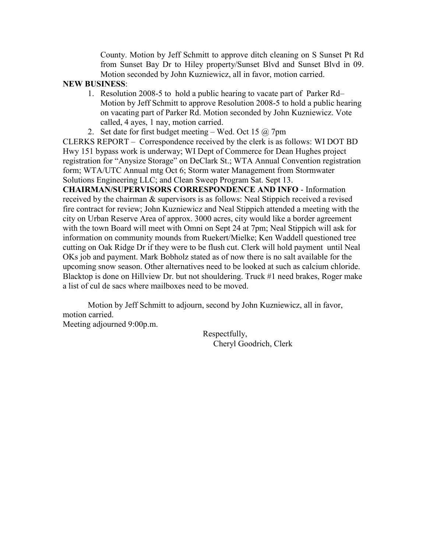County. Motion by Jeff Schmitt to approve ditch cleaning on S Sunset Pt Rd from Sunset Bay Dr to Hiley property/Sunset Blvd and Sunset Blvd in 09. Motion seconded by John Kuzniewicz, all in favor, motion carried.

#### **NEW BUSINESS**:

- 1. Resolution 2008-5 to hold a public hearing to vacate part of Parker Rd– Motion by Jeff Schmitt to approve Resolution 2008-5 to hold a public hearing on vacating part of Parker Rd. Motion seconded by John Kuzniewicz. Vote called, 4 ayes, 1 nay, motion carried.
- 2. Set date for first budget meeting Wed. Oct 15  $\omega$  7pm

CLERKS REPORT – Correspondence received by the clerk is as follows: WI DOT BD Hwy 151 bypass work is underway; WI Dept of Commerce for Dean Hughes project registration for "Anysize Storage" on DeClark St.; WTA Annual Convention registration form; WTA/UTC Annual mtg Oct 6; Storm water Management from Stormwater Solutions Engineering LLC; and Clean Sweep Program Sat. Sept 13.

**CHAIRMAN/SUPERVISORS CORRESPONDENCE AND INFO** - Information received by the chairman & supervisors is as follows: Neal Stippich received a revised fire contract for review; John Kuzniewicz and Neal Stippich attended a meeting with the city on Urban Reserve Area of approx. 3000 acres, city would like a border agreement with the town Board will meet with Omni on Sept 24 at 7pm; Neal Stippich will ask for information on community mounds from Ruekert/Mielke; Ken Waddell questioned tree cutting on Oak Ridge Dr if they were to be flush cut. Clerk will hold payment until Neal OKs job and payment. Mark Bobholz stated as of now there is no salt available for the upcoming snow season. Other alternatives need to be looked at such as calcium chloride. Blacktop is done on Hillview Dr. but not shouldering. Truck #1 need brakes, Roger make a list of cul de sacs where mailboxes need to be moved.

Motion by Jeff Schmitt to adjourn, second by John Kuzniewicz, all in favor, motion carried.

Meeting adjourned 9:00p.m.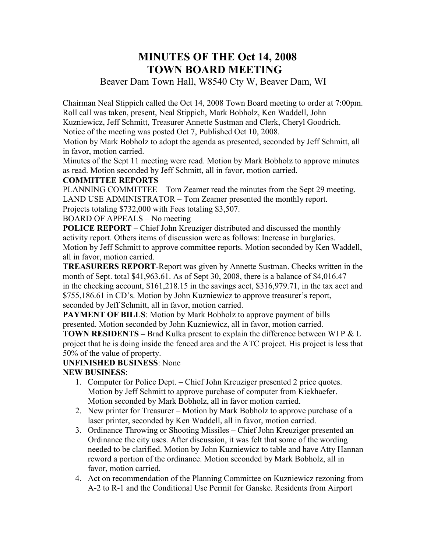# **MINUTES OF THE Oct 14, 2008 TOWN BOARD MEETING**

Beaver Dam Town Hall, W8540 Cty W, Beaver Dam, WI

Chairman Neal Stippich called the Oct 14, 2008 Town Board meeting to order at 7:00pm. Roll call was taken, present, Neal Stippich, Mark Bobholz, Ken Waddell, John

Kuzniewicz, Jeff Schmitt, Treasurer Annette Sustman and Clerk, Cheryl Goodrich.

Notice of the meeting was posted Oct 7, Published Oct 10, 2008.

Motion by Mark Bobholz to adopt the agenda as presented, seconded by Jeff Schmitt, all in favor, motion carried.

Minutes of the Sept 11 meeting were read. Motion by Mark Bobholz to approve minutes as read. Motion seconded by Jeff Schmitt, all in favor, motion carried.

## **COMMITTEE REPORTS**

PLANNING COMMITTEE – Tom Zeamer read the minutes from the Sept 29 meeting. LAND USE ADMINISTRATOR – Tom Zeamer presented the monthly report. Projects totaling \$732,000 with Fees totaling \$3,507.

## BOARD OF APPEALS – No meeting

**POLICE REPORT** – Chief John Kreuziger distributed and discussed the monthly activity report. Others items of discussion were as follows: Increase in burglaries. Motion by Jeff Schmitt to approve committee reports. Motion seconded by Ken Waddell, all in favor, motion carried.

**TREASURERS REPORT**-Report was given by Annette Sustman. Checks written in the month of Sept. total \$41,963.61. As of Sept 30, 2008, there is a balance of \$4,016.47 in the checking account, \$161,218.15 in the savings acct, \$316,979.71, in the tax acct and \$755,186.61 in CD's. Motion by John Kuzniewicz to approve treasurer's report, seconded by Jeff Schmitt, all in favor, motion carried.

**PAYMENT OF BILLS:** Motion by Mark Bobholz to approve payment of bills presented. Motion seconded by John Kuzniewicz, all in favor, motion carried.

**TOWN RESIDENTS –** Brad Kulka present to explain the difference between WI P & L project that he is doing inside the fenced area and the ATC project. His project is less that 50% of the value of property.

## **UNFINISHED BUSINESS**: None

## **NEW BUSINESS**:

- 1. Computer for Police Dept. Chief John Kreuziger presented 2 price quotes. Motion by Jeff Schmitt to approve purchase of computer from Kiekhaefer. Motion seconded by Mark Bobholz, all in favor motion carried.
- 2. New printer for Treasurer Motion by Mark Bobholz to approve purchase of a laser printer, seconded by Ken Waddell, all in favor, motion carried.
- 3. Ordinance Throwing or Shooting Missiles Chief John Kreuziger presented an Ordinance the city uses. After discussion, it was felt that some of the wording needed to be clarified. Motion by John Kuzniewicz to table and have Atty Hannan reword a portion of the ordinance. Motion seconded by Mark Bobholz, all in favor, motion carried.
- 4. Act on recommendation of the Planning Committee on Kuzniewicz rezoning from A-2 to R-1 and the Conditional Use Permit for Ganske. Residents from Airport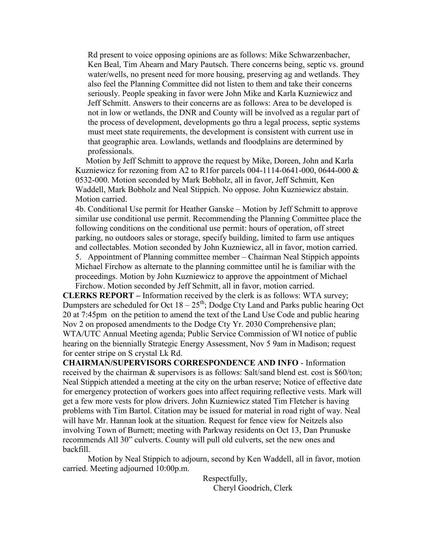Rd present to voice opposing opinions are as follows: Mike Schwarzenbacher, Ken Beal, Tim Ahearn and Mary Pautsch. There concerns being, septic vs. ground water/wells, no present need for more housing, preserving ag and wetlands. They also feel the Planning Committee did not listen to them and take their concerns seriously. People speaking in favor were John Mike and Karla Kuzniewicz and Jeff Schmitt. Answers to their concerns are as follows: Area to be developed is not in low or wetlands, the DNR and County will be involved as a regular part of the process of development, developments go thru a legal process, septic systems must meet state requirements, the development is consistent with current use in that geographic area. Lowlands, wetlands and floodplains are determined by professionals.

 Motion by Jeff Schmitt to approve the request by Mike, Doreen, John and Karla Kuzniewicz for rezoning from A2 to R1for parcels 004-1114-0641-000, 0644-000  $\&$ 0532-000. Motion seconded by Mark Bobholz, all in favor, Jeff Schmitt, Ken Waddell, Mark Bobholz and Neal Stippich. No oppose. John Kuzniewicz abstain. Motion carried.

4b. Conditional Use permit for Heather Ganske – Motion by Jeff Schmitt to approve similar use conditional use permit. Recommending the Planning Committee place the following conditions on the conditional use permit: hours of operation, off street parking, no outdoors sales or storage, specify building, limited to farm use antiques and collectables. Motion seconded by John Kuzniewicz, all in favor, motion carried. 5. Appointment of Planning committee member – Chairman Neal Stippich appoints

Michael Firchow as alternate to the planning committee until he is familiar with the proceedings. Motion by John Kuzniewicz to approve the appointment of Michael Firchow. Motion seconded by Jeff Schmitt, all in favor, motion carried.

**CLERKS REPORT –** Information received by the clerk is as follows: WTA survey; Dumpsters are scheduled for Oct  $18 - 25$ <sup>th</sup>; Dodge Cty Land and Parks public hearing Oct 20 at 7:45pm on the petition to amend the text of the Land Use Code and public hearing Nov 2 on proposed amendments to the Dodge Cty Yr. 2030 Comprehensive plan; WTA/UTC Annual Meeting agenda; Public Service Commission of WI notice of public hearing on the biennially Strategic Energy Assessment, Nov 5 9am in Madison; request for center stripe on S crystal Lk Rd.

**CHAIRMAN/SUPERVISORS CORRESPONDENCE AND INFO** - Information received by the chairman & supervisors is as follows: Salt/sand blend est. cost is \$60/ton; Neal Stippich attended a meeting at the city on the urban reserve; Notice of effective date for emergency protection of workers goes into affect requiring reflective vests. Mark will get a few more vests for plow drivers. John Kuzniewicz stated Tim Fletcher is having problems with Tim Bartol. Citation may be issued for material in road right of way. Neal will have Mr. Hannan look at the situation. Request for fence view for Neitzels also involving Town of Burnett; meeting with Parkway residents on Oct 13, Dan Prunuske recommends All 30" culverts. County will pull old culverts, set the new ones and backfill.

Motion by Neal Stippich to adjourn, second by Ken Waddell, all in favor, motion carried. Meeting adjourned 10:00p.m.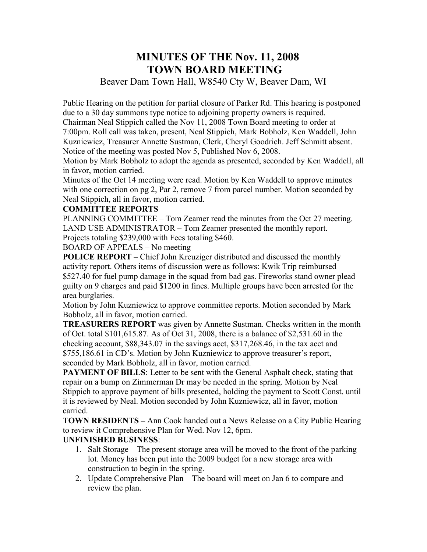# **MINUTES OF THE Nov. 11, 2008 TOWN BOARD MEETING**

## Beaver Dam Town Hall, W8540 Cty W, Beaver Dam, WI

Public Hearing on the petition for partial closure of Parker Rd. This hearing is postponed due to a 30 day summons type notice to adjoining property owners is required. Chairman Neal Stippich called the Nov 11, 2008 Town Board meeting to order at 7:00pm. Roll call was taken, present, Neal Stippich, Mark Bobholz, Ken Waddell, John Kuzniewicz, Treasurer Annette Sustman, Clerk, Cheryl Goodrich. Jeff Schmitt absent. Notice of the meeting was posted Nov 5, Published Nov 6, 2008.

Motion by Mark Bobholz to adopt the agenda as presented, seconded by Ken Waddell, all in favor, motion carried.

Minutes of the Oct 14 meeting were read. Motion by Ken Waddell to approve minutes with one correction on pg 2, Par 2, remove 7 from parcel number. Motion seconded by Neal Stippich, all in favor, motion carried.

#### **COMMITTEE REPORTS**

PLANNING COMMITTEE – Tom Zeamer read the minutes from the Oct 27 meeting. LAND USE ADMINISTRATOR – Tom Zeamer presented the monthly report. Projects totaling \$239,000 with Fees totaling \$460.

BOARD OF APPEALS – No meeting

**POLICE REPORT** – Chief John Kreuziger distributed and discussed the monthly activity report. Others items of discussion were as follows: Kwik Trip reimbursed \$527.40 for fuel pump damage in the squad from bad gas. Fireworks stand owner plead guilty on 9 charges and paid \$1200 in fines. Multiple groups have been arrested for the area burglaries.

Motion by John Kuzniewicz to approve committee reports. Motion seconded by Mark Bobholz, all in favor, motion carried.

**TREASURERS REPORT** was given by Annette Sustman. Checks written in the month of Oct. total \$101,615.87. As of Oct 31, 2008, there is a balance of \$2,531.60 in the checking account, \$88,343.07 in the savings acct, \$317,268.46, in the tax acct and \$755,186.61 in CD's. Motion by John Kuzniewicz to approve treasurer's report, seconded by Mark Bobholz, all in favor, motion carried.

**PAYMENT OF BILLS:** Letter to be sent with the General Asphalt check, stating that repair on a bump on Zimmerman Dr may be needed in the spring. Motion by Neal Stippich to approve payment of bills presented, holding the payment to Scott Const. until it is reviewed by Neal. Motion seconded by John Kuzniewicz, all in favor, motion carried.

**TOWN RESIDENTS –** Ann Cook handed out a News Release on a City Public Hearing to review it Comprehensive Plan for Wed. Nov 12, 6pm.

#### **UNFINISHED BUSINESS**:

- 1. Salt Storage The present storage area will be moved to the front of the parking lot. Money has been put into the 2009 budget for a new storage area with construction to begin in the spring.
- 2. Update Comprehensive Plan The board will meet on Jan 6 to compare and review the plan.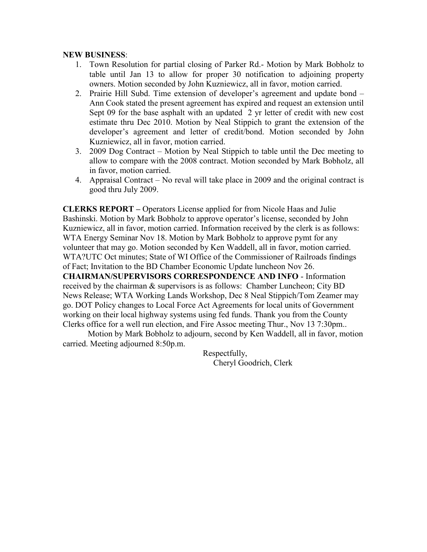#### **NEW BUSINESS**:

- 1. Town Resolution for partial closing of Parker Rd.- Motion by Mark Bobholz to table until Jan 13 to allow for proper 30 notification to adjoining property owners. Motion seconded by John Kuzniewicz, all in favor, motion carried.
- 2. Prairie Hill Subd. Time extension of developer's agreement and update bond Ann Cook stated the present agreement has expired and request an extension until Sept 09 for the base asphalt with an updated 2 yr letter of credit with new cost estimate thru Dec 2010. Motion by Neal Stippich to grant the extension of the developer's agreement and letter of credit/bond. Motion seconded by John Kuzniewicz, all in favor, motion carried.
- 3. 2009 Dog Contract Motion by Neal Stippich to table until the Dec meeting to allow to compare with the 2008 contract. Motion seconded by Mark Bobholz, all in favor, motion carried.
- 4. Appraisal Contract No reval will take place in 2009 and the original contract is good thru July 2009.

**CLERKS REPORT –** Operators License applied for from Nicole Haas and Julie Bashinski. Motion by Mark Bobholz to approve operator's license, seconded by John Kuzniewicz, all in favor, motion carried. Information received by the clerk is as follows: WTA Energy Seminar Nov 18. Motion by Mark Bobholz to approve pymt for any volunteer that may go. Motion seconded by Ken Waddell, all in favor, motion carried. WTA?UTC Oct minutes; State of WI Office of the Commissioner of Railroads findings of Fact; Invitation to the BD Chamber Economic Update luncheon Nov 26.

**CHAIRMAN/SUPERVISORS CORRESPONDENCE AND INFO** - Information received by the chairman & supervisors is as follows: Chamber Luncheon; City BD News Release; WTA Working Lands Workshop, Dec 8 Neal Stippich/Tom Zeamer may go. DOT Policy changes to Local Force Act Agreements for local units of Government working on their local highway systems using fed funds. Thank you from the County Clerks office for a well run election, and Fire Assoc meeting Thur., Nov 13 7:30pm..

Motion by Mark Bobholz to adjourn, second by Ken Waddell, all in favor, motion carried. Meeting adjourned 8:50p.m.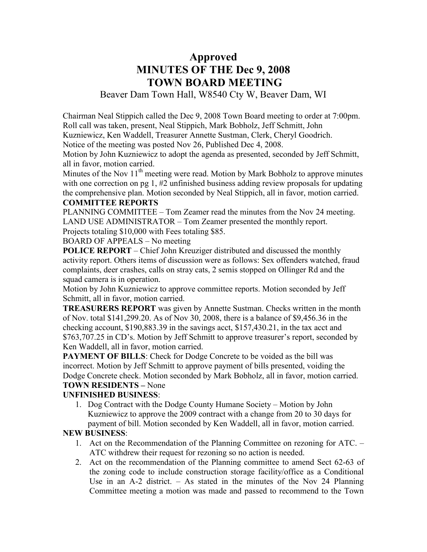# **Approved MINUTES OF THE Dec 9, 2008 TOWN BOARD MEETING**

### Beaver Dam Town Hall, W8540 Cty W, Beaver Dam, WI

Chairman Neal Stippich called the Dec 9, 2008 Town Board meeting to order at 7:00pm. Roll call was taken, present, Neal Stippich, Mark Bobholz, Jeff Schmitt, John

Kuzniewicz, Ken Waddell, Treasurer Annette Sustman, Clerk, Cheryl Goodrich.

Notice of the meeting was posted Nov 26, Published Dec 4, 2008.

Motion by John Kuzniewicz to adopt the agenda as presented, seconded by Jeff Schmitt, all in favor, motion carried.

Minutes of the Nov  $11<sup>th</sup>$  meeting were read. Motion by Mark Bobholz to approve minutes with one correction on pg 1, #2 unfinished business adding review proposals for updating the comprehensive plan. Motion seconded by Neal Stippich, all in favor, motion carried.

#### **COMMITTEE REPORTS**

PLANNING COMMITTEE – Tom Zeamer read the minutes from the Nov 24 meeting. LAND USE ADMINISTRATOR – Tom Zeamer presented the monthly report.

Projects totaling \$10,000 with Fees totaling \$85.

BOARD OF APPEALS – No meeting

**POLICE REPORT** – Chief John Kreuziger distributed and discussed the monthly activity report. Others items of discussion were as follows: Sex offenders watched, fraud complaints, deer crashes, calls on stray cats, 2 semis stopped on Ollinger Rd and the squad camera is in operation.

Motion by John Kuzniewicz to approve committee reports. Motion seconded by Jeff Schmitt, all in favor, motion carried.

**TREASURERS REPORT** was given by Annette Sustman. Checks written in the month of Nov. total \$141,299.20. As of Nov 30, 2008, there is a balance of \$9,456.36 in the checking account, \$190,883.39 in the savings acct, \$157,430.21, in the tax acct and \$763,707.25 in CD's. Motion by Jeff Schmitt to approve treasurer's report, seconded by Ken Waddell, all in favor, motion carried.

**PAYMENT OF BILLS:** Check for Dodge Concrete to be voided as the bill was incorrect. Motion by Jeff Schmitt to approve payment of bills presented, voiding the Dodge Concrete check. Motion seconded by Mark Bobholz, all in favor, motion carried. **TOWN RESIDENTS –** None

## **UNFINISHED BUSINESS**:

1. Dog Contract with the Dodge County Humane Society – Motion by John Kuzniewicz to approve the 2009 contract with a change from 20 to 30 days for payment of bill. Motion seconded by Ken Waddell, all in favor, motion carried.

#### **NEW BUSINESS**:

- 1. Act on the Recommendation of the Planning Committee on rezoning for ATC. ATC withdrew their request for rezoning so no action is needed.
- 2. Act on the recommendation of the Planning committee to amend Sect 62-63 of the zoning code to include construction storage facility/office as a Conditional Use in an  $A-2$  district. – As stated in the minutes of the Nov 24 Planning Committee meeting a motion was made and passed to recommend to the Town